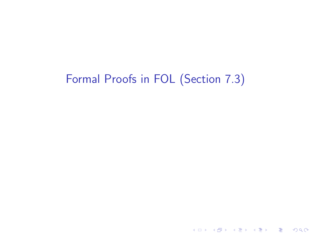## Formal Proofs in FOL (Section 7.3)

K ロ ▶ ( d ) | K 글 ) | K 글 ) | [ 글 | 10 Q Q |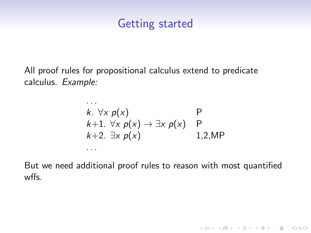#### Getting started

All proof rules for propositional calculus extend to predicate calculus. Example:

. . .

...  
\nk. 
$$
\forall x \ p(x)
$$
  
\nk+1.  $\forall x \ p(x) \rightarrow \exists x \ p(x)$  P  
\nk+2.  $\exists x \ p(x)$  1,2,MP

But we need additional proof rules to reason with most quantified wffs.

K ロ ▶ K @ ▶ K 할 > K 할 > 1 할 > 1 이익어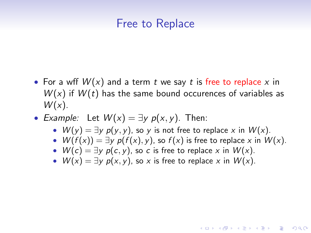#### Free to Replace

- For a wff  $W(x)$  and a term t we say t is free to replace x in  $W(x)$  if  $W(t)$  has the same bound occurences of variables as  $W(x)$ .
- Example: Let  $W(x) = \exists y p(x, y)$ . Then:
	- $W(y) = \exists y \ p(y, y)$ , so y is not free to replace x in  $W(x)$ .
	- $W(f(x)) = \exists y \ p(f(x), y)$ , so  $f(x)$  is free to replace x in  $W(x)$ .

**KORKAR KERKER EL VOLO** 

- $W(c) = \exists y \ p(c, y)$ , so c is free to replace x in  $W(x)$ .
- $W(x) = \exists y \ p(x, y)$ , so x is free to replace x in  $W(x)$ .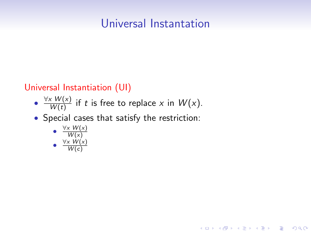### Universal Instantation

K ロ ▶ K @ ▶ K 할 > K 할 > 1 할 > 1 이익어

#### Universal Instantiation (UI)

- $\frac{\forall x \ W(x)}{W(t)}$  $\frac{W(X)}{W(t)}$  if t is free to replace x in  $W(x)$ .
- Special cases that satisfy the restriction:

\n- $$
\frac{\forall x \ W(x)}{W(x)}
$$
\n- $\frac{\forall x \ W(x)}{W(c)}$
\n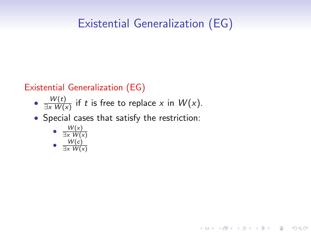# Existential Generalization (EG)

K ロ ▶ K @ ▶ K 할 > K 할 > 1 할 > 1 이익어

#### Existential Generalization (EG)

- $\bullet$   $\frac{W(t)}{\exists \times M(t)}$  $\frac{W(t)}{\exists x W(x)}$  if t is free to replace x in  $W(x)$ .
- Special cases that satisfy the restriction:

\n- \n
$$
\frac{W(x)}{\exists x \ W(x)}
$$
\n
\n- \n
$$
\frac{W(c)}{\exists x \ W(x)}
$$
\n
\n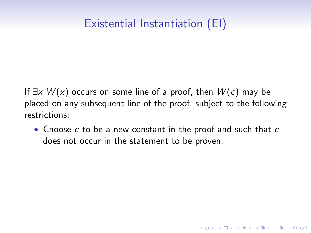# Existential Instantiation (EI)

If  $\exists x W(x)$  occurs on some line of a proof, then  $W(c)$  may be placed on any subsequent line of the proof, subject to the following restrictions:

• Choose c to be a new constant in the proof and such that c does not occur in the statement to be proven.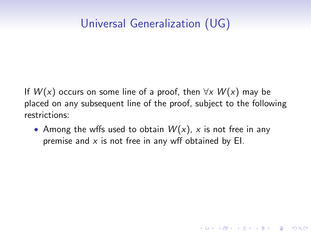# Universal Generalization (UG)

If  $W(x)$  occurs on some line of a proof, then  $\forall x W(x)$  may be placed on any subsequent line of the proof, subject to the following restrictions:

• Among the wffs used to obtain  $W(x)$ , x is not free in any premise and  $x$  is not free in any wff obtained by EI.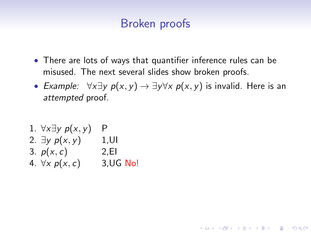### Broken proofs

- There are lots of ways that quantifier inference rules can be misused. The next several slides show broken proofs.
- Example:  $\forall x \exists y \ p(x, y) \rightarrow \exists y \forall x \ p(x, y)$  is invalid. Here is an attempted proof.

1. 
$$
\forall x \exists y \ p(x, y)
$$
 P  
\n2.  $\exists y \ p(x, y)$  1, UI  
\n3.  $p(x, c)$  2, El  
\n4.  $\forall x \ p(x, c)$  3, UG No!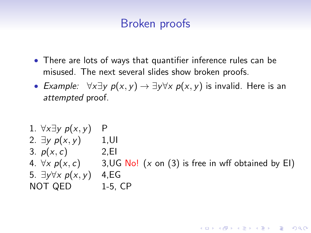### Broken proofs

- There are lots of ways that quantifier inference rules can be misused. The next several slides show broken proofs.
- Example:  $\forall x \exists y \ p(x, y) \rightarrow \exists y \forall x \ p(x, y)$  is invalid. Here is an attempted proof.

```
1. \forall x \exists y \ p(x, y) P
2. \exists y \ p(x, y) 1.UI
3. p(x, c) 2, EI
4. \forall x \ p(x, c) 3, UG No! (x on (3) is free in wff obtained by EI)
5. \exists y \forall x \ p(x, y) 4, EG
NOT QED 1-5, CP
```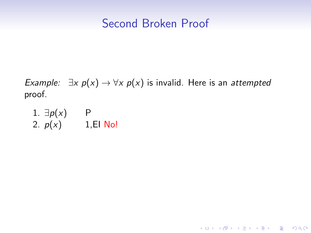#### Second Broken Proof

Example:  $\exists x \ p(x) \rightarrow \forall x \ p(x)$  is invalid. Here is an attempted proof.

K ロ ▶ K @ ▶ K 할 ▶ K 할 ▶ | 할 | ⊙Q @

1. 
$$
\exists p(x)
$$
 P  
2.  $p(x)$  1, El No!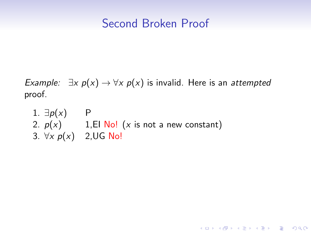#### Second Broken Proof

Example:  $\exists x \ p(x) \rightarrow \forall x \ p(x)$  is invalid. Here is an attempted proof.

K ロ ▶ K @ ▶ K 할 > K 할 > 1 할 > 1 이익어

1.  $\exists p(x)$  P 2.  $p(x)$  1,EI No! (x is not a new constant) 3.  $\forall x \ p(x)$  2, UG No!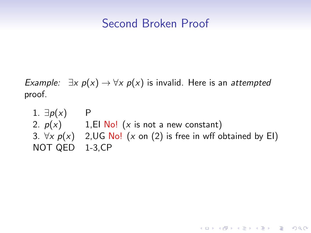#### Second Broken Proof

Example:  $\exists x \ p(x) \rightarrow \forall x \ p(x)$  is invalid. Here is an attempted proof.

1.  $\exists p(x)$  P 2.  $p(x)$  1, El No! (x is not a new constant) 3.  $\forall x \ p(x)$  2, UG No! (x on (2) is free in wff obtained by EI) NOT QED 1-3,CP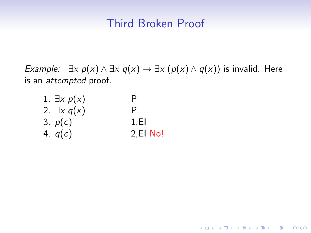#### Third Broken Proof

*Example:*  $\exists x \ p(x) \land \exists x \ q(x) \rightarrow \exists x (\ p(x) \land q(x))$  is invalid. Here is an attempted proof.

K ロ ▶ K @ ▶ K 할 > K 할 > 1 할 > 1 ⊙ Q Q ^

| 1. $\exists x \ p(x)$ | Ρ        |
|-----------------------|----------|
| 2. $\exists x q(x)$   | P        |
| 3. $p(c)$             | 1.EI     |
| 4. $q(c)$             | 2,El No! |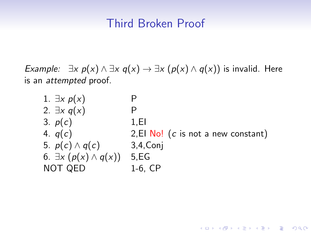#### Third Broken Proof

*Example:*  $\exists x \ p(x) \land \exists x \ q(x) \rightarrow \exists x (\ p(x) \land q(x))$  is invalid. Here is an attempted proof.

| 1. $\exists x \ p(x)$                          |                                                  |
|------------------------------------------------|--------------------------------------------------|
| 2. $\exists x q(x)$                            |                                                  |
| 3. $p(c)$                                      | 1.EI                                             |
| 4. $q(c)$                                      | 2, El $\overline{No!}$ (c is not a new constant) |
| 5. $p(c) \wedge q(c)$                          | $3,4$ , Conj                                     |
| 6. $\exists x \left( p(x) \wedge q(x) \right)$ | 5, EG                                            |
| NOT QED                                        | $1-6$ , $CP$                                     |

K ロ ▶ K @ ▶ K 할 > K 할 > 1 할 > 1 ⊙ Q Q ^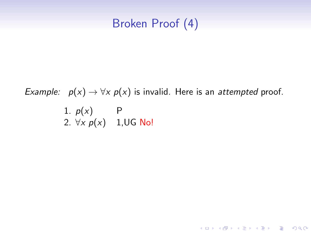### Broken Proof (4)

### Example:  $p(x) \rightarrow \forall x p(x)$  is invalid. Here is an attempted proof. 1.  $p(x)$  P 2.  $\forall x \ p(x)$  1, UG No!

K □ ▶ K @ ▶ K 할 X K 할 X T 할 X 1 9 Q Q \*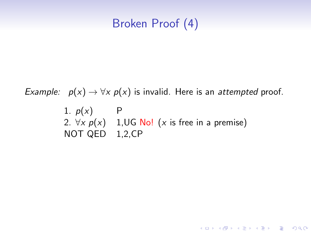### Broken Proof (4)

Example:  $p(x) \rightarrow \forall x p(x)$  is invalid. Here is an attempted proof. 1.  $p(x)$  P 2.  $\forall x \ p(x)$  1, UG No! (x is free in a premise) NOT QED 1,2,CP

K ロ ▶ K @ ▶ K 할 > K 할 > 1 할 > 1 이익어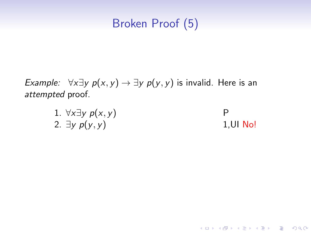## Broken Proof (5)

*Example:*  $\forall x \exists y \ p(x, y) \rightarrow \exists y \ p(y, y)$  is invalid. Here is an attempted proof.

| 1. $\forall x \exists y \ p(x, y)$ |             |
|------------------------------------|-------------|
| 2. $\exists y \ p(y, y)$           | $1,$ UI No! |

K ロ ▶ K @ ▶ K 할 X X 할 X | 할 X 1 9 Q Q ^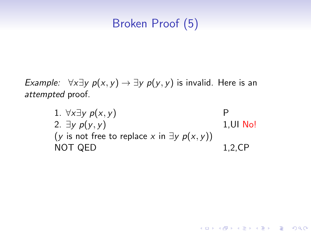## Broken Proof (5)

*Example:*  $\forall x \exists y \ p(x, y) \rightarrow \exists y \ p(y, y)$  is invalid. Here is an attempted proof.

> 1.  $\forall x \exists y \ p(x, y)$  P 2.  $\exists y \ p(y, y)$  1, UI No! (y is not free to replace x in  $\exists y \ p(x, y)$ ) NOT QED 1,2,CP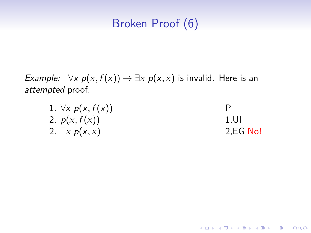## Broken Proof (6)

Example:  $\forall x \ p(x, f(x)) \rightarrow \exists x \ p(x, x)$  is invalid. Here is an attempted proof.

| 1. $\forall x \ p(x, f(x))$ |             |
|-----------------------------|-------------|
| 2. $p(x, f(x))$             | 1.UI        |
| 2. $\exists x \ p(x,x)$     | $2, EG$ No! |

イロト イ御 トイミト イミト ニミー りんぴ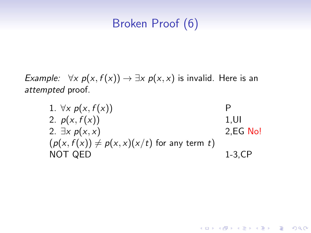## Broken Proof (6)

Example:  $\forall x \ p(x, f(x)) \rightarrow \exists x \ p(x, x)$  is invalid. Here is an attempted proof.

> 1.  $\forall x \ p(x, f(x))$  P 2.  $p(x, f(x))$  1, U 2.  $\exists x \ p(x, x)$  2, EG No!  $(p(x, f(x)) \neq p(x, x)(x/t)$  for any term t) NOT QED 1-3,CP

> > **KORK STRAIN A BAR SHOP**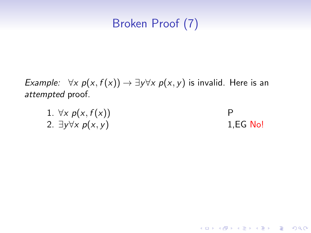# Broken Proof (7)

*Example:*  $\forall x \ p(x, f(x)) \rightarrow \exists y \forall x \ p(x, y)$  is invalid. Here is an attempted proof.

| 1. $\forall x \ p(x, f(x))$        |            |
|------------------------------------|------------|
| 2. $\exists y \forall x \ p(x, y)$ | $1,EG$ No! |

K ロ ▶ K @ ▶ K 할 ▶ K 할 ▶ | 할 | © 9 Q @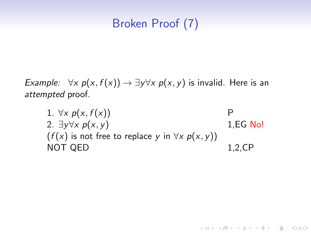# Broken Proof (7)

*Example:*  $\forall x \ p(x, f(x)) \rightarrow \exists y \forall x \ p(x, y)$  is invalid. Here is an attempted proof.

1.  $\forall x \ p(x, f(x))$  P 2.  $\exists v \forall x \ p(x, v)$  1, EG No!  $(f(x))$  is not free to replace y in  $\forall x \ p(x, y)$ NOT QED 1,2,CP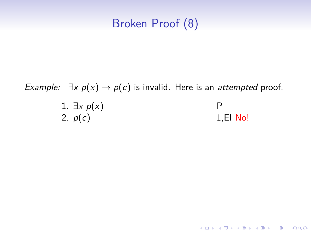### Broken Proof (8)

Example:  $\exists x \ p(x) \rightarrow p(c)$  is invalid. Here is an attempted proof.

| 1. $\exists x \ p(x)$ |             |
|-----------------------|-------------|
| 2. $p(c)$             | $1, EI$ No! |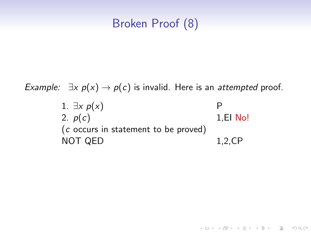### Broken Proof (8)

Example:  $\exists x \ p(x) \rightarrow p(c)$  is invalid. Here is an attempted proof.

1. 
$$
\exists x \ p(x)
$$
 P  
\n2.  $p(c)$  1, El No!  
\n(c occurs in statement to be proved)  
\nNOT QED 1,2,CP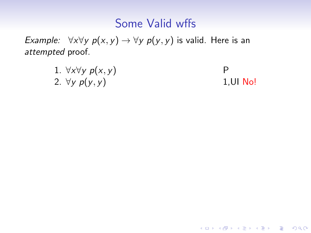### Some Valid wffs

Example:  $\forall x \forall y \ p(x, y) \rightarrow \forall y \ p(y, y)$  is valid. Here is an attempted proof.

| 1. $\forall x \forall y \ p(x, y)$ |          |
|------------------------------------|----------|
| 2. $\forall y \ p(y, y)$           | 1,UI No! |

K ロ ▶ K @ ▶ K 할 ▶ K 할 ▶ ... 할 ... 900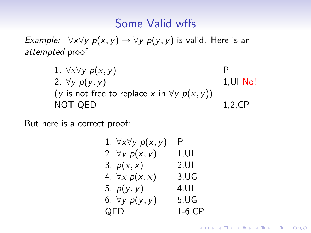#### Some Valid wffs

Example:  $\forall x \forall y \ p(x, y) \rightarrow \forall y \ p(y, y)$  is valid. Here is an attempted proof.

> 1.  $\forall x \forall y \ p(x, y)$  P 2.  $\forall y \ p(y, y)$  1, UI No! (y is not free to replace x in  $\forall y \ p(x, y)$ ) NOT QED 1,2,CP

But here is a correct proof:

1. 
$$
\forall x \forall y \ p(x, y)
$$
 P  
\n2.  $\forall y \ p(x, y)$  1, UI  
\n3.  $p(x, x)$  2, UI  
\n4.  $\forall x \ p(x, x)$  3,UG  
\n5.  $p(y, y)$  4, UI  
\n6.  $\forall y \ p(y, y)$  5,UG  
\nQED 1-6,CP.

**KORK STRAIN A BAR SHOP**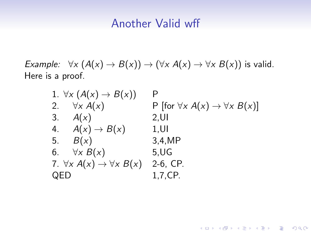#### Another Valid wff

Example:  $\forall x (A(x) \rightarrow B(x)) \rightarrow (\forall x A(x) \rightarrow \forall x B(x))$  is valid. Here is a proof.

| 1. $\forall x (A(x) \rightarrow B(x))$         | P                                                    |
|------------------------------------------------|------------------------------------------------------|
| 2. $\forall x A(x)$                            | P [for $\forall x A(x) \rightarrow \forall x B(x)$ ] |
| 3. $A(x)$                                      | $2,$ UI                                              |
| 4. $A(x) \rightarrow B(x)$                     | 1.UI                                                 |
| 5. $B(x)$                                      | 3,4,MP                                               |
| 6. $\forall x B(x)$                            | $5, \mathsf{UG}$                                     |
| 7. $\forall x A(x) \rightarrow \forall x B(x)$ | 2-6, CP.                                             |
| QED                                            | 1,7,CP.                                              |

イロト イ御 トイミト イミト ニミー りんぴ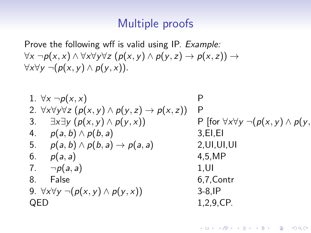#### Multiple proofs

Prove the following wff is valid using IP. Example:  $\forall x \neg p(x, x) \land \forall x \forall y \forall z (p(x, y) \land p(y, z) \rightarrow p(x, z))$  →  $\forall x \forall y \neg (p(x, y) \land p(y, x)).$ 

| 1. $\forall x \neg p(x, x)$                                                    | P                                                         |
|--------------------------------------------------------------------------------|-----------------------------------------------------------|
| 2. $\forall x \forall y \forall z (p(x, y) \land p(y, z) \rightarrow p(x, z))$ | P                                                         |
| 3. $\exists x \exists y (p(x, y) \land p(y, x))$                               | P [for $\forall x \forall y \neg (p(x, y) \land p(y, y))$ |
| 4. $p(a, b) \land p(b, a)$                                                     | 3, E1, E1                                                 |
| 5. $p(a, b) \land p(b, a) \rightarrow p(a, a)$                                 | 2, U1, U1, U1                                             |
| 6. $p(a, a)$                                                                   | 4, 5, MP                                                  |
| 7. $\neg p(a, a)$                                                              | 1, UI                                                     |
| 8. False                                                                       | 6, 7, Contr                                               |
| 9. $\forall x \forall y \neg (p(x, y) \land p(y, x))$                          | 3-8, IP                                                   |
| QED                                                                            | 1, 2, 9, CP.                                              |

**KORKA SERKER ORA**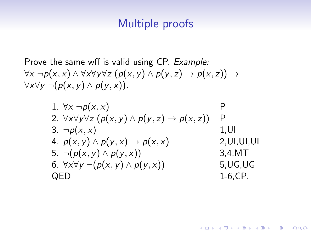#### Multiple proofs

Prove the same wff is valid using CP. Example:  $\forall x \neg p(x, x) \land \forall x \forall y \forall z (p(x, y) \land p(y, z) \rightarrow p(x, z))$  →  $\forall x \forall y \neg (p(x, y) \land p(y, x)).$ 

1. 
$$
\forall x \neg p(x, x)
$$
  
\n2.  $\forall x \forall y \forall z (p(x, y) \land p(y, z) \rightarrow p(x, z))$  P  
\n3.  $\neg p(x, x)$   
\n4.  $p(x, y) \land p(y, x) \rightarrow p(x, x)$   
\n5.  $\neg (p(x, y) \land p(y, x))$   
\n6.  $\forall x \forall y \neg (p(x, y) \land p(y, x))$   
\nQED  
\n1-6, CP.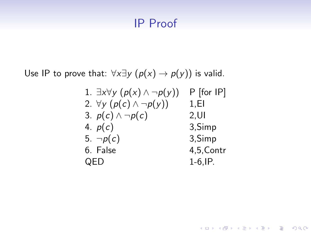#### IP Proof

Use IP to prove that:  $\forall x \exists y \ (p(x) \rightarrow p(y))$  is valid.

1. 
$$
\exists x \forall y (p(x) \land \neg p(y))
$$
 P [for IP]  
\n2.  $\forall y (p(c) \land \neg p(y))$  1, El  
\n3.  $p(c) \land \neg p(c)$  2, Ul  
\n4.  $p(c)$  3, Simp  
\n5.  $\neg p(c)$  3, Simp  
\n6. False 4,5, Contr  
\nQED 1-6, IP.

K ロ ▶ K @ ▶ K 할 ▶ K 할 ▶ | 할 | ⊙Q @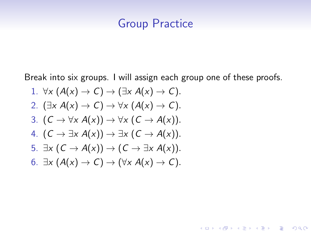#### Group Practice

Break into six groups. I will assign each group one of these proofs.

イロト イ御 トイミト イミト ニミー りんぴ

\n- 1. 
$$
\forall x (A(x) \rightarrow C) \rightarrow (\exists x A(x) \rightarrow C)
$$
.
\n- 2.  $(\exists x A(x) \rightarrow C) \rightarrow \forall x (A(x) \rightarrow C)$ .
\n- 3.  $(C \rightarrow \forall x A(x)) \rightarrow \forall x (C \rightarrow A(x))$ .
\n- 4.  $(C \rightarrow \exists x A(x)) \rightarrow \exists x (C \rightarrow A(x))$ .
\n- 5.  $\exists x (C \rightarrow A(x)) \rightarrow (C \rightarrow \exists x A(x))$ .
\n- 6.  $\exists x (A(x) \rightarrow C) \rightarrow (\forall x A(x) \rightarrow C)$ .
\n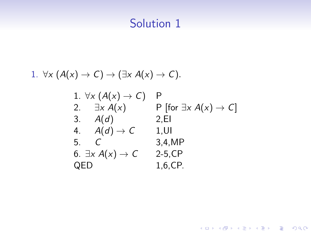#### 1.  $\forall x (A(x) \rightarrow C) \rightarrow (\exists x A(x) \rightarrow C)$ .

1. 
$$
\forall x (A(x) \rightarrow C)
$$
 P  
\n2.  $\exists x A(x)$  P [for  $\exists x A(x) \rightarrow C$ ]  
\n3.  $A(d)$  2,EI  
\n4.  $A(d) \rightarrow C$  1,UI  
\n5. C 3,4,MP  
\n6.  $\exists x A(x) \rightarrow C$  2-5,CP  
\nQED 1,6,CP.

イロト イ御 トイミト イミト ニミー りんぴ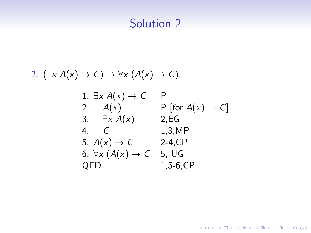2. 
$$
(\exists x A(x) \rightarrow C) \rightarrow \forall x (A(x) \rightarrow C)
$$
.

1. 
$$
\exists x A(x) \rightarrow C
$$
 P  
\n2.  $A(x)$  P [for  $A(x) \rightarrow C$ ]  
\n3.  $\exists x A(x)$  2,EG  
\n4. C 1,3,MP  
\n5.  $A(x) \rightarrow C$  2-4, CP.  
\n6.  $\forall x (A(x) \rightarrow C$  5, UG  
\nQED 1,5-6,CP.

K ロ X イロ X K ミ X K ミ X ミ X Y Q Q Q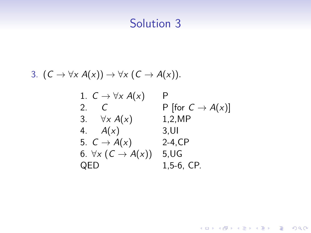3. 
$$
(C \to \forall x A(x)) \to \forall x (C \to A(x)).
$$

1. 
$$
C \rightarrow \forall x A(x)
$$
 P  
\n2. C  
\nP [for  $C \rightarrow A(x)$ ]  
\n3.  $\forall x A(x)$  1,2,MP  
\n4.  $A(x)$  3,UI  
\n5.  $C \rightarrow A(x)$  2-4, CP  
\n6.  $\forall x (C \rightarrow A(x))$  5,UG  
\nQED 1,5-6, CP.

K ロ X イロ X K ミ X K ミ X ミ X Y Q Q Q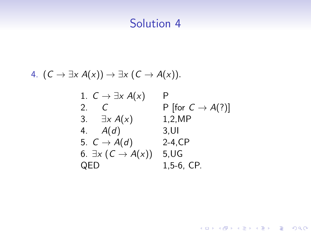4. 
$$
(C \rightarrow \exists x A(x)) \rightarrow \exists x (C \rightarrow A(x)).
$$

1. 
$$
C \rightarrow \exists x \ A(x)
$$
 \nP\n2. \nC \nP [for  $C \rightarrow A(?)$ ]\n3.  $\exists x \ A(x)$  \n1.2, MP\n4. \n $A(d)$  \n3. Ul\n5. \n $C \rightarrow A(d)$  \n $2-4$ , CP\n6.  $\exists x \ (C \rightarrow A(x))$  \n5. UG\nQED \n1.5-6, CP.

**K ロ K イロ K K モ K K モ K エ エ エ イ の Q Q C**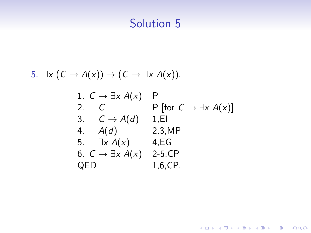5. 
$$
\exists x (C \rightarrow A(x)) \rightarrow (C \rightarrow \exists x A(x)).
$$

1. 
$$
C \rightarrow \exists x A(x)
$$
 P  
\n2.  $C$  P [for  $C \rightarrow \exists x A(x)$ ]  
\n3.  $C \rightarrow A(d)$  1, El  
\n4.  $A(d)$  2, 3, MP  
\n5.  $\exists x A(x)$  4, EG  
\n6.  $C \rightarrow \exists x A(x)$  2-5, CP  
\nQED 1,6, CP.

K ロ X イロ X K ミ X K ミ X ミ X Y Q Q Q